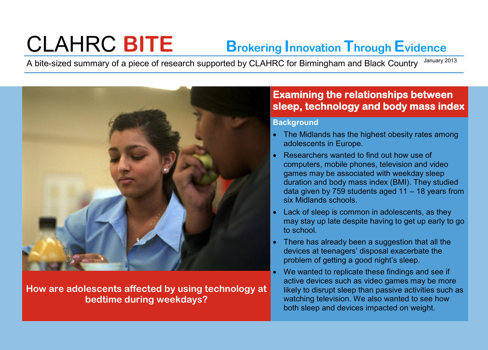# CLAHRC **BITE Brokering Innovation Through Evidence**

A bite-sized summary of a piece of research supported by CLAHRC for Birmingham and Black Country January 2013



**How are adolescents affected by using technology at bedtime during weekdays?** 

## **Examining the relationships between sleep, technology and body mass index**

#### **Background**

- The Midlands has the highest obesity rates among adolescents in Europe.
- Researchers wanted to find out how use of computers, mobile phones, television and video games may be associated with weekday sleep duration and body mass index (BMI). They studied data given by 759 students aged 11 – 18 years from six Midlands schools.
- Lack of sleep is common in adolescents, as they may stay up late despite having to get up early to go to school.
- There has already been a suggestion that all the devices at teenagers' disposal exacerbate the problem of getting a good night's sleep.
- We wanted to replicate these findings and see if active devices such as video games may be more likely to disrupt sleep than passive activities such as watching television. We also wanted to see how both sleep and devices impacted on weight.